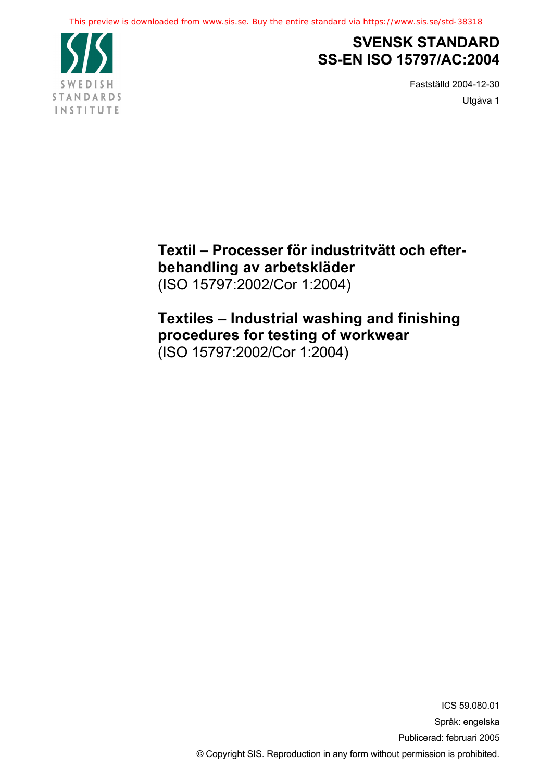

## **SVENSK STANDARD SS-EN ISO 15797/AC:2004**

Fastställd 2004-12-30 Utgåva 1

**Textil – Processer för industritvätt och efterbehandling av arbetskläder** (ISO 15797:2002/Cor 1:2004)

### **Textiles – Industrial washing and finishing procedures for testing of workwear** (ISO 15797:2002/Cor 1:2004)

ICS 59.080.01 Språk: engelska Publicerad: februari 2005 © Copyright SIS. Reproduction in any form without permission is prohibited.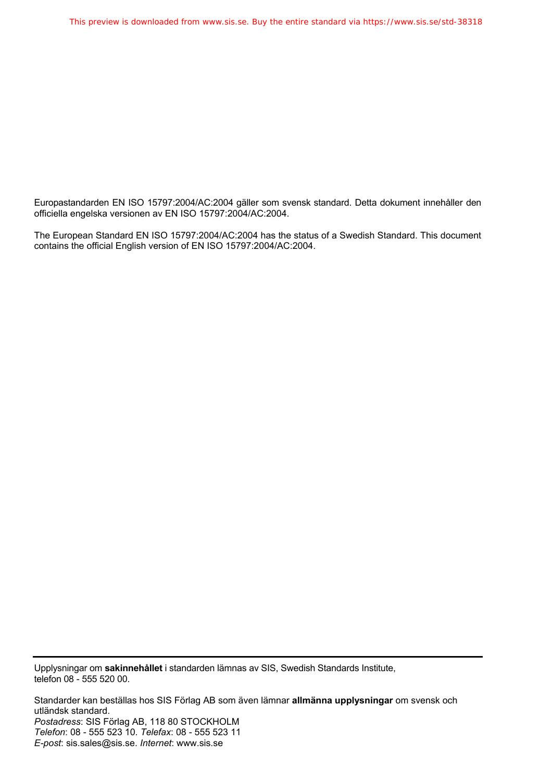Europastandarden EN ISO 15797:2004/AC:2004 gäller som svensk standard. Detta dokument innehåller den officiella engelska versionen av EN ISO 15797:2004/AC:2004.

The European Standard EN ISO 15797:2004/AC:2004 has the status of a Swedish Standard. This document contains the official English version of EN ISO 15797:2004/AC:2004.

Upplysningar om **sakinnehållet** i standarden lämnas av SIS, Swedish Standards Institute, telefon 08 - 555 520 00.

Standarder kan beställas hos SIS Förlag AB som även lämnar **allmänna upplysningar** om svensk och utländsk standard. *Postadress*: SIS Förlag AB, 118 80 STOCKHOLM *Telefon*: 08 - 555 523 10. *Telefax*: 08 - 555 523 11 *E-post*: sis.sales@sis.se. *Internet*: www.sis.se